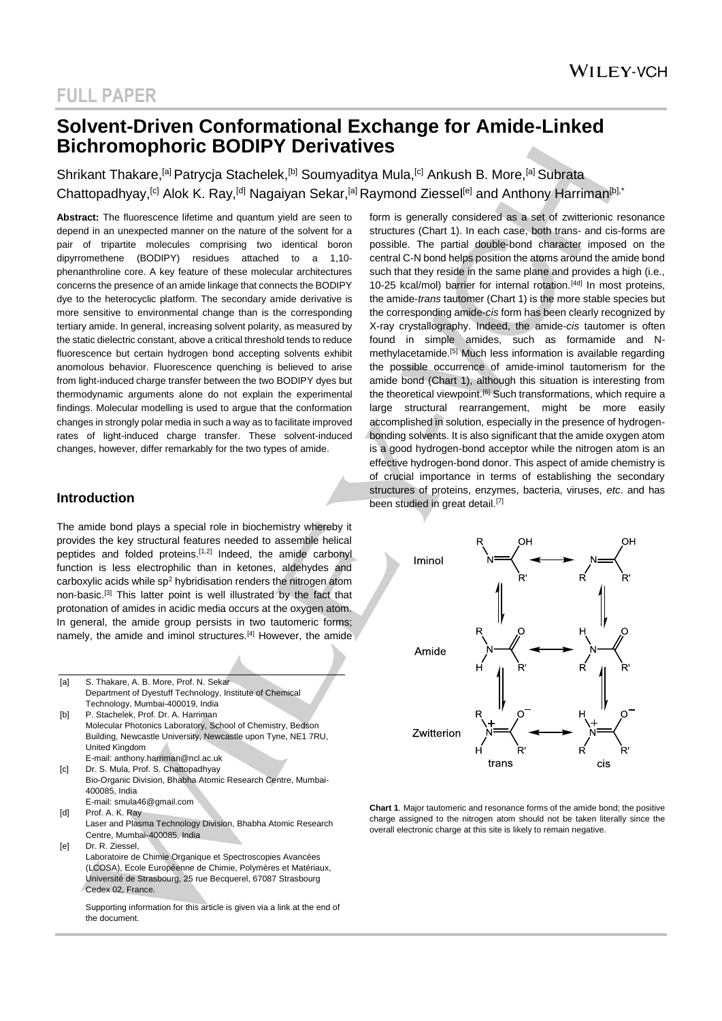### **Solvent-Driven Conformational Exchange for Amide-Linked Bichromophoric BODIPY Derivatives**

Shrikant Thakare,<sup>[a]</sup> Patrycja Stachelek,<sup>[b]</sup> Soumyaditya Mula,<sup>[c]</sup> Ankush B. More,<sup>[a]</sup> Subrata Chattopadhyay,<sup>[c]</sup> Alok K. Ray,<sup>[d]</sup> Nagaiyan Sekar,<sup>[a]</sup> Raymond Ziessel<sup>[e]</sup> and Anthony Harriman<sup>[b],\*</sup>

**Abstract:** The fluorescence lifetime and quantum yield are seen to depend in an unexpected manner on the nature of the solvent for a pair of tripartite molecules comprising two identical boron dipyrromethene (BODIPY) residues attached to a 1,10 phenanthroline core. A key feature of these molecular architectures concerns the presence of an amide linkage that connects the BODIPY dye to the heterocyclic platform. The secondary amide derivative is more sensitive to environmental change than is the corresponding tertiary amide. In general, increasing solvent polarity, as measured by the static dielectric constant, above a critical threshold tends to reduce fluorescence but certain hydrogen bond accepting solvents exhibit anomolous behavior. Fluorescence quenching is believed to arise from light-induced charge transfer between the two BODIPY dyes but thermodynamic arguments alone do not explain the experimental findings. Molecular modelling is used to argue that the conformation changes in strongly polar media in such a way as to facilitate improved rates of light-induced charge transfer. These solvent-induced changes, however, differ remarkably for the two types of amide.

### **Introduction**

the document.

The amide bond plays a special role in biochemistry whereby it provides the key structural features needed to assemble helical peptides and folded proteins.[1,2] Indeed, the amide carbonyl function is less electrophilic than in ketones, aldehydes and carboxylic acids while  $\text{sp}^2$  hybridisation renders the nitrogen atom non-basic.[3] This latter point is well illustrated by the fact that protonation of amides in acidic media occurs at the oxygen atom. In general, the amide group persists in two tautomeric forms: namely, the amide and iminol structures.[4] However, the amide

Ä

| [a] | S. Thakare, A. B. More, Prof. N. Sekar                                    |
|-----|---------------------------------------------------------------------------|
|     | Department of Dyestuff Technology, Institute of Chemical                  |
|     | Technology, Mumbai-400019, India                                          |
| [b] | P. Stachelek, Prof. Dr. A. Harriman                                       |
|     | Molecular Photonics Laboratory, School of Chemistry, Bedson               |
|     | Building, Newcastle University, Newcastle upon Tyne, NE1 7RU,             |
|     | United Kingdom                                                            |
|     | E-mail: anthony.harriman@ncl.ac.uk                                        |
| [c] | Dr. S. Mula, Prof. S. Chattopadhyay                                       |
|     | Bio-Organic Division, Bhabha Atomic Research Centre, Mumbai-              |
|     | 400085, India                                                             |
|     | E-mail: smula46@gmail.com                                                 |
| [d] | Prof. A. K. Ray                                                           |
|     | Laser and Plasma Technology Division, Bhabha Atomic Research              |
|     | Centre, Mumbai-400085, India                                              |
| [e] | Dr. R. Ziessel,                                                           |
|     | Laboratoire de Chimie Organique et Spectroscopies Avancées                |
|     | (LCOSA), Ecole Européenne de Chimie, Polymères et Matériaux,              |
|     | Université de Strasbourg, 25 rue Becquerel, 67087 Strasbourg              |
|     | Cedex 02, France.                                                         |
|     |                                                                           |
|     | Supporting information for this article is given via a link at the end of |

form is generally considered as a set of zwitterionic resonance structures (Chart 1). In each case, both trans- and cis-forms are possible. The partial double-bond character imposed on the central C-N bond helps position the atoms around the amide bond such that they reside in the same plane and provides a high (i.e., 10-25 kcal/mol) barrier for internal rotation.<sup>[4d]</sup> In most proteins, the amide-*trans* tautomer (Chart 1) is the more stable species but the corresponding amide-*cis* form has been clearly recognized by X-ray crystallography. Indeed, the amide-*cis* tautomer is often found in simple amides, such as formamide and Nmethylacetamide.<sup>[5]</sup> Much less information is available regarding the possible occurrence of amide-iminol tautomerism for the amide bond (Chart 1), although this situation is interesting from the theoretical viewpoint.<sup>[6]</sup> Such transformations, which require a large structural rearrangement, might be more easily accomplished in solution, especially in the presence of hydrogenbonding solvents. It is also significant that the amide oxygen atom is a good hydrogen-bond acceptor while the nitrogen atom is an effective hydrogen-bond donor. This aspect of amide chemistry is of crucial importance in terms of establishing the secondary structures of proteins, enzymes, bacteria, viruses, *etc*. and has been studied in great detail.<sup>[7]</sup>



**Chart 1**. Major tautomeric and resonance forms of the amide bond; the positive charge assigned to the nitrogen atom should not be taken literally since the overall electronic charge at this site is likely to remain negative.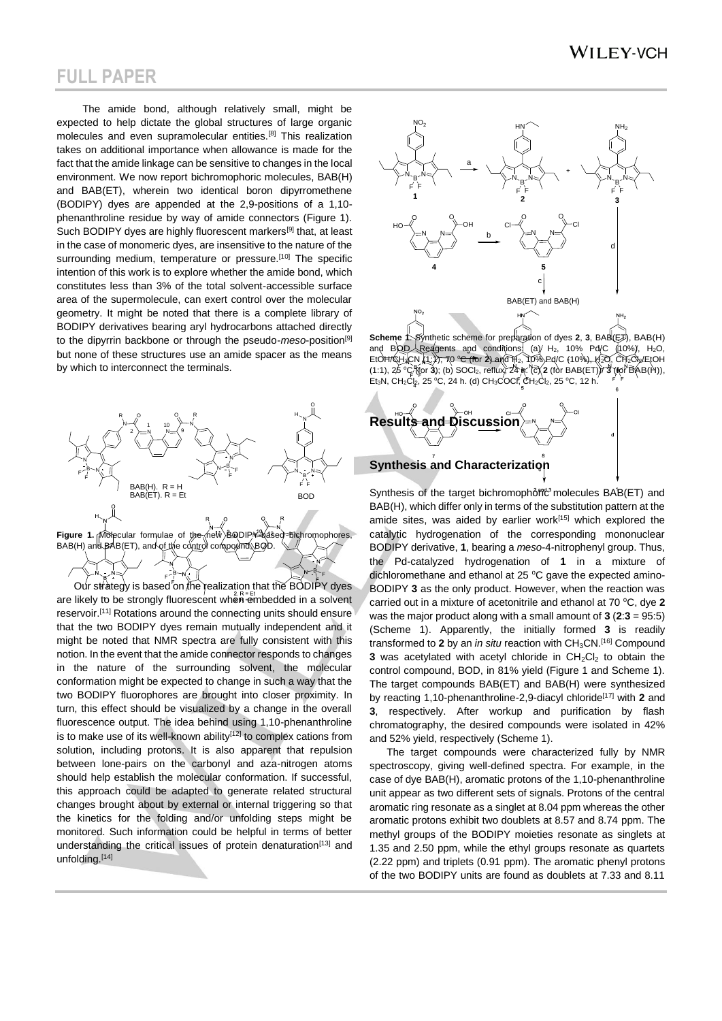The amide bond, although relatively small, might be expected to help dictate the global structures of large organic molecules and even supramolecular entities.[8] This realization takes on additional importance when allowance is made for the fact that the amide linkage can be sensitive to changes in the local environment. We now report bichromophoric molecules, BAB(H) and BAB(ET), wherein two identical boron dipyrromethene (BODIPY) dyes are appended at the 2,9-positions of a 1,10 phenanthroline residue by way of amide connectors (Figure 1). Such BODIPY dyes are highly fluorescent markers<sup>[9]</sup> that, at least in the case of monomeric dyes, are insensitive to the nature of the surrounding medium, temperature or pressure.<sup>[10]</sup> The specific intention of this work is to explore whether the amide bond, which constitutes less than 3% of the total solvent-accessible surface area of the supermolecule, can exert control over the molecular geometry. It might be noted that there is a complete library of BODIPY derivatives bearing aryl hydrocarbons attached directly to the dipyrrin backbone or through the pseudo-*meso*-position[9] but none of these structures use an amide spacer as the means by which to interconnect the terminals.



are likely to be strongly fluorescent when embedded in a solvent reservoir.<sup>[11]</sup> Rotations around the connecting units should ensure that the two BODIPY dyes remain mutually independent and it might be noted that NMR spectra are fully consistent with this notion. In the event that the amide connector responds to changes in the nature of the surrounding solvent, the molecular conformation might be expected to change in such a way that the two BODIPY fluorophores are brought into closer proximity. In turn, this effect should be visualized by a change in the overall fluorescence output. The idea behind using 1,10-phenanthroline is to make use of its well-known ability $[12]$  to complex cations from solution, including protons. It is also apparent that repulsion between lone-pairs on the carbonyl and aza-nitrogen atoms should help establish the molecular conformation. If successful, this approach could be adapted to generate related structural changes brought about by external or internal triggering so that the kinetics for the folding and/or unfolding steps might be monitored. Such information could be helpful in terms of better understanding the critical issues of protein denaturation<sup>[13]</sup> and unfolding.[14]



**Scheme 1**. Synthetic scheme for preparation of dyes **2**, **3**, BAB(ET), BAB(H) and BQD. Reagents and conditions (a)  $H_2$ , 10% Pd/C (10%), H<sub>2</sub>O, EtOH/QH<sub>3</sub>CN (1:)), 70 °C (for 2) and  $H_2$ , 10% Pd/C (10%), H<sub>2</sub>O, CH<sub>2</sub>Cl<sub>2</sub>/EtOH (1:1), 25 <sup>o</sup>C (for **3**); (b) SOCl2, reflux, 24 h. (c) **2** (for BAB(ET))/ **3** (for BAB(H)), Et<sub>3</sub>N, CH<sub>2</sub>Cl<sub>2</sub>, 25 °C, 24 h. (d) CH<sub>3</sub>COCI, CH<sub>2</sub>Cl<sub>2</sub>, 25 °C, 12 h.



Synthesis of the target bichromophoric<sup>3</sup> molecules BAB(ET) and BAB(H), which differ only in terms of the substitution pattern at the amide sites, was aided by earlier work<sup>[15]</sup> which explored the catalytic hydrogenation of the corresponding mononuclear BODIPY derivative, **1**, bearing a *meso*-4-nitrophenyl group. Thus, the Pd-catalyzed hydrogenation of **1** in a mixture of dichloromethane and ethanol at 25  $\degree$ C gave the expected amino-BODIPY **3** as the only product. However, when the reaction was carried out in a mixture of acetonitrile and ethanol at 70 °C, dye 2 was the major product along with a small amount of **3** (**2**:**3** = 95:5) (Scheme 1). Apparently, the initially formed **3** is readily transformed to 2 by an *in situ* reaction with CH<sub>3</sub>CN.<sup>[16]</sup> Compound **3** was acetylated with acetyl chloride in  $CH_2Cl_2$  to obtain the control compound, BOD, in 81% yield (Figure 1 and Scheme 1). The target compounds BAB(ET) and BAB(H) were synthesized by reacting 1,10-phenanthroline-2,9-diacyl chloride[17] with **2** and **3**, respectively. After workup and purification by flash chromatography, the desired compounds were isolated in 42% and 52% yield, respectively (Scheme 1).

The target compounds were characterized fully by NMR spectroscopy, giving well-defined spectra. For example, in the case of dye BAB(H), aromatic protons of the 1,10-phenanthroline unit appear as two different sets of signals. Protons of the central aromatic ring resonate as a singlet at 8.04 ppm whereas the other aromatic protons exhibit two doublets at 8.57 and 8.74 ppm. The methyl groups of the BODIPY moieties resonate as singlets at 1.35 and 2.50 ppm, while the ethyl groups resonate as quartets (2.22 ppm) and triplets (0.91 ppm). The aromatic phenyl protons of the two BODIPY units are found as doublets at 7.33 and 8.11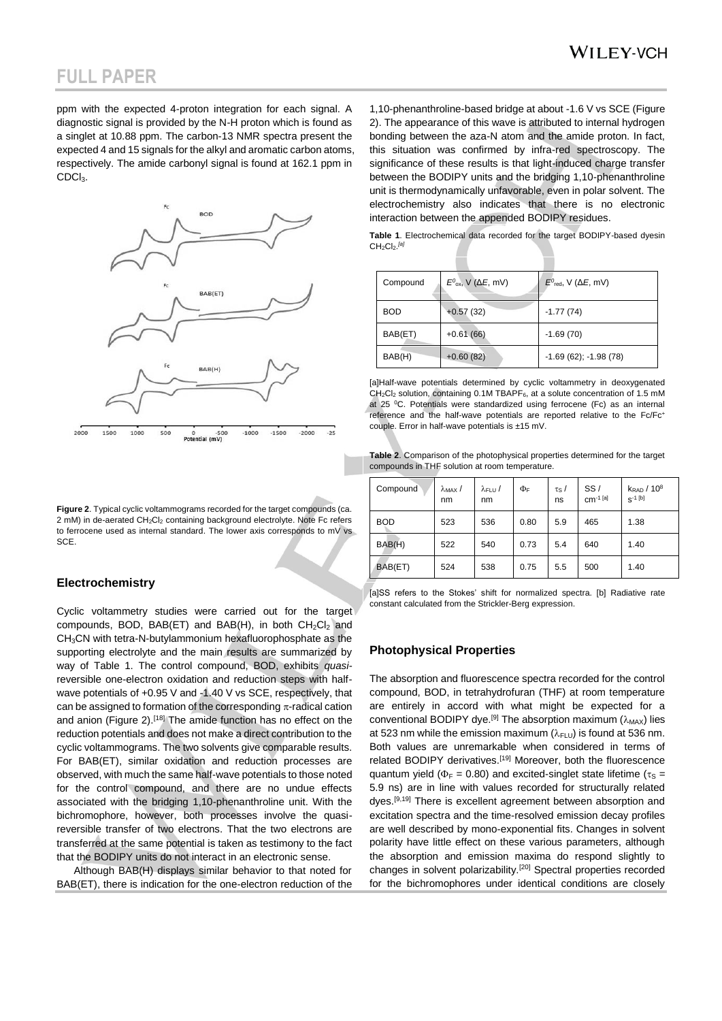ppm with the expected 4-proton integration for each signal. A diagnostic signal is provided by the N-H proton which is found as a singlet at 10.88 ppm. The carbon-13 NMR spectra present the expected 4 and 15 signals for the alkyl and aromatic carbon atoms, respectively. The amide carbonyl signal is found at 162.1 ppm in CDC<sub>l3</sub>.



**Figure 2**. Typical cyclic voltammograms recorded for the target compounds (ca. 2 mM) in de-aerated CH<sub>2</sub>Cl<sub>2</sub> containing background electrolyte. Note Fc refers to ferrocene used as internal standard. The lower axis corresponds to mV vs SCE.

#### **Electrochemistry**

Cyclic voltammetry studies were carried out for the target compounds, BOD, BAB(ET) and BAB(H), in both  $CH_2Cl_2$  and CH3CN with tetra-N-butylammonium hexafluorophosphate as the supporting electrolyte and the main results are summarized by way of Table 1. The control compound, BOD, exhibits *quasi*reversible one-electron oxidation and reduction steps with halfwave potentials of +0.95 V and -1.40 V vs SCE, respectively, that can be assigned to formation of the corresponding  $\pi$ -radical cation and anion (Figure 2).<sup>[18]</sup> The amide function has no effect on the reduction potentials and does not make a direct contribution to the cyclic voltammograms. The two solvents give comparable results. For BAB(ET), similar oxidation and reduction processes are observed, with much the same half-wave potentials to those noted for the control compound, and there are no undue effects associated with the bridging 1,10-phenanthroline unit. With the bichromophore, however, both processes involve the quasireversible transfer of two electrons. That the two electrons are transferred at the same potential is taken as testimony to the fact that the BODIPY units do not interact in an electronic sense.

Although BAB(H) displays similar behavior to that noted for BAB(ET), there is indication for the one-electron reduction of the

1,10-phenanthroline-based bridge at about -1.6 V vs SCE (Figure 2). The appearance of this wave is attributed to internal hydrogen bonding between the aza-N atom and the amide proton. In fact, this situation was confirmed by infra-red spectroscopy. The significance of these results is that light-induced charge transfer between the BODIPY units and the bridging 1,10-phenanthroline unit is thermodynamically unfavorable, even in polar solvent. The electrochemistry also indicates that there is no electronic interaction between the appended BODIPY residues.

**Table 1**. Electrochemical data recorded for the target BODIPY-based dyesin CH2Cl2. *[a]*

| Compound   | $E^0_{\text{ox}}$ , V ( $\Delta E$ , mV) | $E^0$ <sub>red</sub> , V ( $\Delta E$ , mV) |
|------------|------------------------------------------|---------------------------------------------|
| <b>BOD</b> | $+0.57(32)$                              | $-1.77(74)$                                 |
| BAB(ET)    | $+0.61(66)$                              | $-1.69(70)$                                 |
| BAB(H)     | $+0.60(82)$                              | $-1.69(62); -1.98(78)$                      |

[a]Half-wave potentials determined by cyclic voltammetry in deoxygenated  $CH<sub>2</sub>Cl<sub>2</sub>$  solution, containing 0.1M TBAPF<sub>6</sub>, at a solute concentration of 1.5 mM at 25 °C. Potentials were standardized using ferrocene (Fc) as an internal reference and the half-wave potentials are reported relative to the Fc/Fc<sup>+</sup> couple. Error in half-wave potentials is ±15 mV.

**Table 2**. Comparison of the photophysical properties determined for the target compounds in THF solution at room temperature.

| Compound   | $\lambda$ <sub>MAX</sub> /<br>nm | $\lambda$ FLU $/$<br>nm | ФF   | $\tau s$ /<br>ns | SS/<br>$cm^{-1}$ [a] | $k_{\rm RAD}$ / $10^8$<br>$S^{-1}$ [b] |
|------------|----------------------------------|-------------------------|------|------------------|----------------------|----------------------------------------|
| <b>BOD</b> | 523                              | 536                     | 0.80 | 5.9              | 465                  | 1.38                                   |
| BAB(H)     | 522                              | 540                     | 0.73 | 5.4              | 640                  | 1.40                                   |
| BAB(ET)    | 524                              | 538                     | 0.75 | 5.5              | 500                  | 1.40                                   |

[a]SS refers to the Stokes' shift for normalized spectra. [b] Radiative rate constant calculated from the Strickler-Berg expression.

#### **Photophysical Properties**

The absorption and fluorescence spectra recorded for the control compound, BOD, in tetrahydrofuran (THF) at room temperature are entirely in accord with what might be expected for a conventional BODIPY dye.<sup>[9]</sup> The absorption maximum ( $\lambda_{\text{MAX}}$ ) lies at 523 nm while the emission maximum ( $\lambda_{FLU}$ ) is found at 536 nm. Both values are unremarkable when considered in terms of related BODIPY derivatives.<sup>[19]</sup> Moreover, both the fluorescence quantum yield ( $\Phi_F = 0.80$ ) and excited-singlet state lifetime ( $\tau_S =$ 5.9 ns) are in line with values recorded for structurally related dyes.<sup>[9,19]</sup> There is excellent agreement between absorption and excitation spectra and the time-resolved emission decay profiles are well described by mono-exponential fits. Changes in solvent polarity have little effect on these various parameters, although the absorption and emission maxima do respond slightly to changes in solvent polarizability.[20] Spectral properties recorded for the bichromophores under identical conditions are closely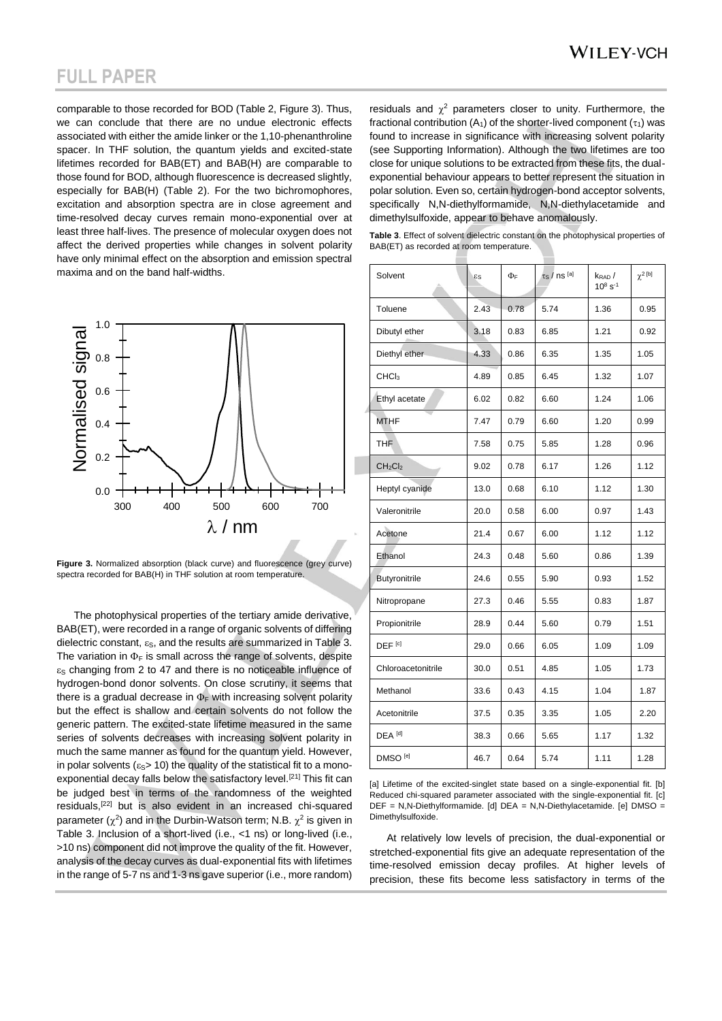comparable to those recorded for BOD (Table 2, Figure 3). Thus, we can conclude that there are no undue electronic effects associated with either the amide linker or the 1,10-phenanthroline spacer. In THF solution, the quantum yields and excited-state lifetimes recorded for BAB(ET) and BAB(H) are comparable to those found for BOD, although fluorescence is decreased slightly, especially for BAB(H) (Table 2). For the two bichromophores, excitation and absorption spectra are in close agreement and time-resolved decay curves remain mono-exponential over at least three half-lives. The presence of molecular oxygen does not affect the derived properties while changes in solvent polarity have only minimal effect on the absorption and emission spectral maxima and on the band half-widths.



**Figure 3.** Normalized absorption (black curve) and fluorescence (grey curve) spectra recorded for BAB(H) in THF solution at room temperature.

The photophysical properties of the tertiary amide derivative, BAB(ET), were recorded in a range of organic solvents of differing dielectric constant,  $\varepsilon_{\rm S}$ , and the results are summarized in Table 3. The variation in  $\Phi_F$  is small across the range of solvents, despite  $\varepsilon$ <sub>S</sub> changing from 2 to 47 and there is no noticeable influence of hydrogen-bond donor solvents. On close scrutiny, it seems that there is a gradual decrease in  $\Phi_F$  with increasing solvent polarity but the effect is shallow and certain solvents do not follow the generic pattern. The excited-state lifetime measured in the same series of solvents decreases with increasing solvent polarity in much the same manner as found for the quantum yield. However, in polar solvents ( $\varepsilon$ <sub>S</sub>> 10) the quality of the statistical fit to a monoexponential decay falls below the satisfactory level.[21] This fit can be judged best in terms of the randomness of the weighted residuals,[22] but is also evident in an increased chi-squared parameter ( $\chi^2$ ) and in the Durbin-Watson term; N.B.  $\chi^2$  is given in Table 3. Inclusion of a short-lived (i.e., <1 ns) or long-lived (i.e., >10 ns) component did not improve the quality of the fit. However, analysis of the decay curves as dual-exponential fits with lifetimes in the range of 5-7 ns and 1-3 ns gave superior (i.e., more random)

residuals and  $\chi^2$  parameters closer to unity. Furthermore, the fractional contribution (A<sub>1</sub>) of the shorter-lived component ( $\tau$ <sub>1</sub>) was found to increase in significance with increasing solvent polarity (see Supporting Information). Although the two lifetimes are too close for unique solutions to be extracted from these fits, the dualexponential behaviour appears to better represent the situation in polar solution. Even so, certain hydrogen-bond acceptor solvents, specifically N,N-diethylformamide, N,N-diethylacetamide and dimethylsulfoxide, appear to behave anomalously.

| Table 3. Effect of solvent dielectric constant on the photophysical properties of |  |  |
|-----------------------------------------------------------------------------------|--|--|
| BAB(ET) as recorded at room temperature.                                          |  |  |

| Solvent                         | $\epsilon$ s | $\Phi_F$ | $\tau_{\rm S}$ / ns [a] | k <sub>rad</sub> /<br>$10^8 s^{-1}$ | $\chi^2$ [b] |
|---------------------------------|--------------|----------|-------------------------|-------------------------------------|--------------|
| Toluene                         | 2.43         | 0.78     | 5.74                    | 1.36                                | 0.95         |
| Dibutyl ether                   | 3.18         | 0.83     | 6.85                    | 1.21                                | 0.92         |
| Diethyl ether                   | 4.33         | 0.86     | 6.35                    | 1.35                                | 1.05         |
| CHCl <sub>3</sub>               | 4.89         | 0.85     | 6.45                    | 1.32                                | 1.07         |
| Ethyl acetate                   | 6.02         | 0.82     | 6.60                    | 1.24                                | 1.06         |
| <b>MTHF</b>                     | 7.47         | 0.79     | 6.60                    | 1.20                                | 0.99         |
| <b>THF</b>                      | 7.58         | 0.75     | 5.85                    | 1.28                                | 0.96         |
| CH <sub>2</sub> Cl <sub>2</sub> | 9.02         | 0.78     | 6.17                    | 1.26                                | 1.12         |
| Heptyl cyanide                  | 13.0         | 0.68     | 6.10                    | 1.12                                | 1.30         |
| Valeronitrile                   | 20.0         | 0.58     | 6.00                    | 0.97                                | 1.43         |
| Acetone                         | 21.4         | 0.67     | 6.00                    | 1.12                                | 1.12         |
| Ethanol                         | 24.3         | 0.48     | 5.60                    | 0.86                                | 1.39         |
| Butyronitrile                   | 24.6         | 0.55     | 5.90                    | 0.93                                | 1.52         |
| Nitropropane                    | 27.3         | 0.46     | 5.55                    | 0.83                                | 1.87         |
| Propionitrile                   | 28.9         | 0.44     | 5.60                    | 0.79                                | 1.51         |
| DEF <sup>[c]</sup>              | 29.0         | 0.66     | 6.05                    | 1.09                                | 1.09         |
| Chloroacetonitrile              | 30.0         | 0.51     | 4.85                    | 1.05                                | 1.73         |
| Methanol                        | 33.6         | 0.43     | 4.15                    | 1.04                                | 1.87         |
| Acetonitrile                    | 37.5         | 0.35     | 3.35                    | 1.05                                | 2.20         |
| DEA <sup>[d]</sup>              | 38.3         | 0.66     | 5.65                    | 1.17                                | 1.32         |
| DMSO <sup>[e]</sup>             | 46.7         | 0.64     | 5.74                    | 1.11                                | 1.28         |

[a] Lifetime of the excited-singlet state based on a single-exponential fit. [b] Reduced chi-squared parameter associated with the single-exponential fit. [c] DEF = N,N-Diethylformamide. [d] DEA = N,N-Diethylacetamide. [e] DMSO = Dimethylsulfoxide.

At relatively low levels of precision, the dual-exponential or stretched-exponential fits give an adequate representation of the time-resolved emission decay profiles. At higher levels of precision, these fits become less satisfactory in terms of the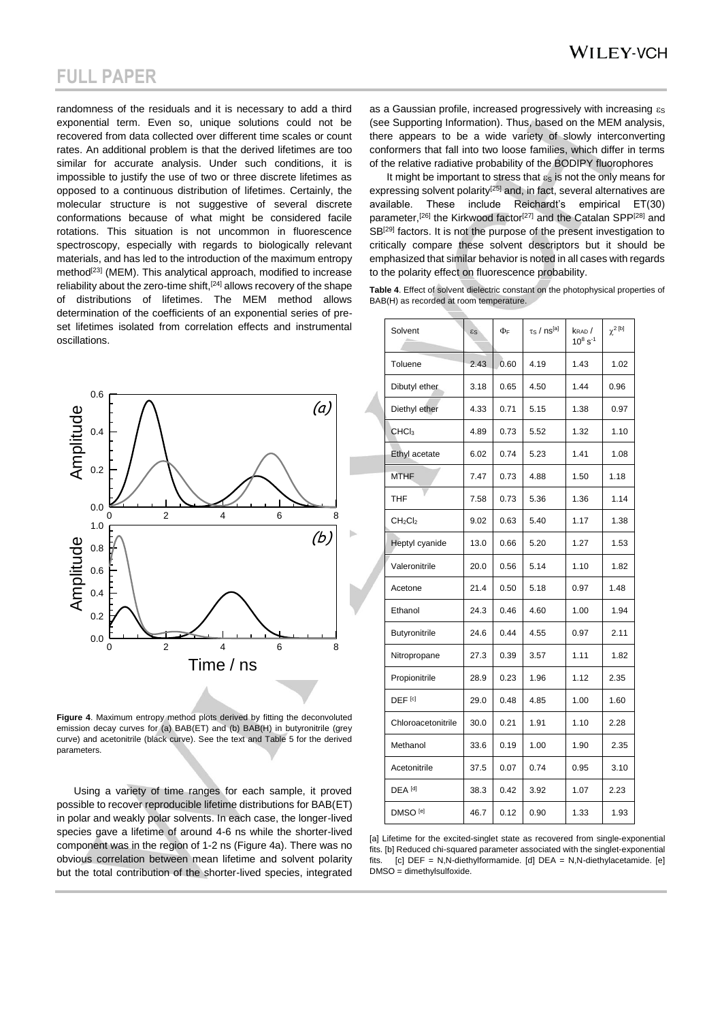randomness of the residuals and it is necessary to add a third exponential term. Even so, unique solutions could not be recovered from data collected over different time scales or count rates. An additional problem is that the derived lifetimes are too similar for accurate analysis. Under such conditions, it is impossible to justify the use of two or three discrete lifetimes as opposed to a continuous distribution of lifetimes. Certainly, the molecular structure is not suggestive of several discrete conformations because of what might be considered facile rotations. This situation is not uncommon in fluorescence spectroscopy, especially with regards to biologically relevant materials, and has led to the introduction of the maximum entropy method<sup>[23]</sup> (MEM). This analytical approach, modified to increase reliability about the zero-time shift, $[24]$  allows recovery of the shape of distributions of lifetimes. The MEM method allows determination of the coefficients of an exponential series of preset lifetimes isolated from correlation effects and instrumental oscillations.



**Figure 4**. Maximum entropy method plots derived by fitting the deconvoluted emission decay curves for (a) BAB(ET) and (b) BAB(H) in butyronitrile (grey curve) and acetonitrile (black curve). See the text and Table 5 for the derived parameters.

Using a variety of time ranges for each sample, it proved possible to recover reproducible lifetime distributions for BAB(ET) in polar and weakly polar solvents. In each case, the longer-lived species gave a lifetime of around 4-6 ns while the shorter-lived component was in the region of 1-2 ns (Figure 4a). There was no obvious correlation between mean lifetime and solvent polarity but the total contribution of the shorter-lived species, integrated

as a Gaussian profile, increased progressively with increasing  $\varepsilon_{\rm S}$ (see Supporting Information). Thus, based on the MEM analysis, there appears to be a wide variety of slowly interconverting conformers that fall into two loose families, which differ in terms of the relative radiative probability of the BODIPY fluorophores

It might be important to stress that  $\varepsilon_{\rm S}$  is not the only means for expressing solvent polarity<sup>[25]</sup> and, in fact, several alternatives are available. These include Reichardt's empirical ET(30) parameter,<sup>[26]</sup> the Kirkwood factor<sup>[27]</sup> and the Catalan SPP<sup>[28]</sup> and SB<sup>[29]</sup> factors. It is not the purpose of the present investigation to critically compare these solvent descriptors but it should be emphasized that similar behavior is noted in all cases with regards to the polarity effect on fluorescence probability.

**Table 4**. Effect of solvent dielectric constant on the photophysical properties of BAB(H) as recorded at room temperature.

| Solvent                         | $\epsilon$ s | ΦF   | $\tau$ s / ns <sup>[a]</sup> | $k_{\text{RAD}}$<br>$10^8$ s <sup>-1</sup> | $\chi^2$ <sup>[b]</sup> |
|---------------------------------|--------------|------|------------------------------|--------------------------------------------|-------------------------|
| Toluene                         | 2.43         | 0.60 | 4.19                         | 1.43                                       | 1.02                    |
| Dibutyl ether                   | 3.18         | 0.65 | 4.50                         | 1.44                                       | 0.96                    |
| Diethyl ether                   | 4.33         | 0.71 | 5.15                         | 1.38                                       | 0.97                    |
| CHC <sub>3</sub>                | 4.89         | 0.73 | 5.52                         | 1.32                                       | 1.10                    |
| Ethyl acetate                   | 6.02         | 0.74 | 5.23                         | 1.41                                       | 1.08                    |
| <b>MTHF</b>                     | 7.47         | 0.73 | 4.88                         | 1.50                                       | 1.18                    |
| THF                             | 7.58         | 0.73 | 5.36                         | 1.36                                       | 1.14                    |
| CH <sub>2</sub> Cl <sub>2</sub> | 9.02         | 0.63 | 5.40                         | 1.17                                       | 1.38                    |
| Heptyl cyanide                  | 13.0         | 0.66 | 5.20                         | 1.27                                       | 1.53                    |
| Valeronitrile                   | 20.0         | 0.56 | 5.14                         | 1.10                                       | 1.82                    |
| Acetone                         | 21.4         | 0.50 | 5.18                         | 0.97                                       | 1.48                    |
| Ethanol                         | 24.3         | 0.46 | 4.60                         | 1.00                                       | 1.94                    |
| Butyronitrile                   | 24.6         | 0.44 | 4.55                         | 0.97                                       | 2.11                    |
| Nitropropane                    | 27.3         | 0.39 | 3.57                         | 1.11                                       | 1.82                    |
| Propionitrile                   | 28.9         | 0.23 | 1.96                         | 1.12                                       | 2.35                    |
| DEF <sup>[c]</sup>              | 29.0         | 0.48 | 4.85                         | 1.00                                       | 1.60                    |
| Chloroacetonitrile              | 30.0         | 0.21 | 1.91                         | 1.10                                       | 2.28                    |
| Methanol                        | 33.6         | 0.19 | 1.00                         | 1.90                                       | 2.35                    |
| Acetonitrile                    | 37.5         | 0.07 | 0.74                         | 0.95                                       | 3.10                    |
| DEA <sup>[d]</sup>              | 38.3         | 0.42 | 3.92                         | 1.07                                       | 2.23                    |
| DMSO <sup>[e]</sup>             | 46.7         | 0.12 | 0.90                         | 1.33                                       | 1.93                    |

[a] Lifetime for the excited-singlet state as recovered from single-exponential fits. [b] Reduced chi-squared parameter associated with the singlet-exponential  $[c]$  DEF = N,N-diethylformamide. [d] DEA = N,N-diethylacetamide. [e] DMSO = dimethylsulfoxide.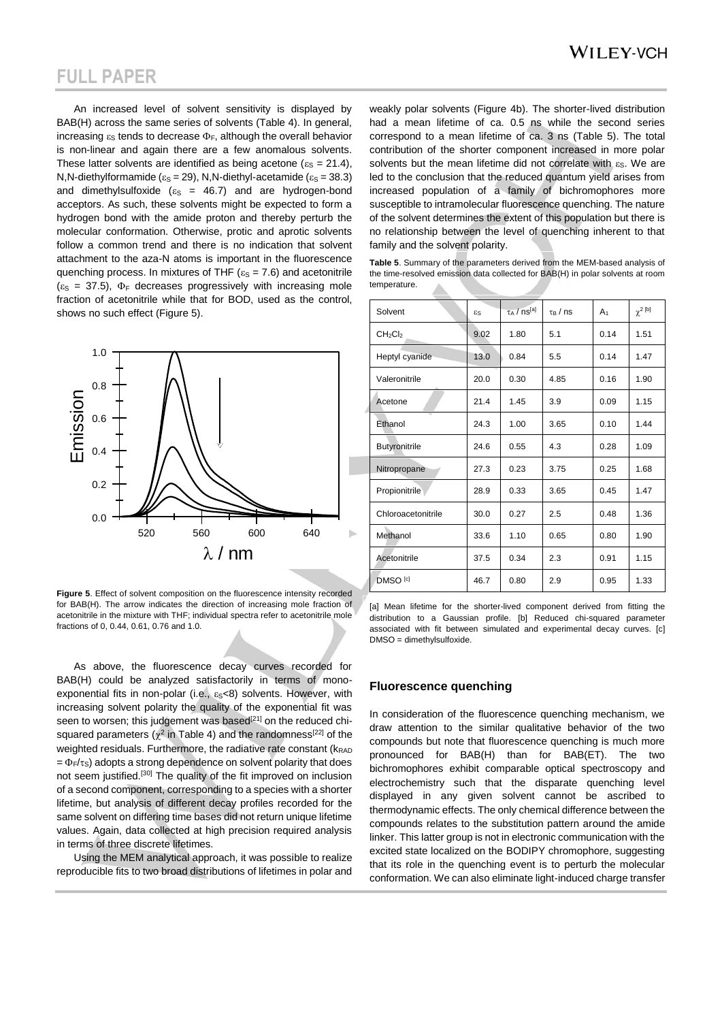An increased level of solvent sensitivity is displayed by BAB(H) across the same series of solvents (Table 4). In general, increasing  $\varepsilon_{\rm S}$  tends to decrease  $\Phi_{\rm F}$ , although the overall behavior is non-linear and again there are a few anomalous solvents. These latter solvents are identified as being acetone ( $\varepsilon_{\rm S}$  = 21.4), N,N-diethylformamide ( $\varepsilon_s$  = 29), N,N-diethyl-acetamide ( $\varepsilon_s$  = 38.3) and dimethylsulfoxide ( $\varepsilon$ <sub>S</sub> = 46.7) and are hydrogen-bond acceptors. As such, these solvents might be expected to form a hydrogen bond with the amide proton and thereby perturb the molecular conformation. Otherwise, protic and aprotic solvents follow a common trend and there is no indication that solvent attachment to the aza-N atoms is important in the fluorescence quenching process. In mixtures of THF ( $\varepsilon$ <sub>S</sub> = 7.6) and acetonitrile  $(\epsilon_s = 37.5)$ ,  $\Phi_F$  decreases progressively with increasing mole fraction of acetonitrile while that for BOD, used as the control, shows no such effect (Figure 5).



**Figure 5**. Effect of solvent composition on the fluorescence intensity recorded for BAB(H). The arrow indicates the direction of increasing mole fraction of acetonitrile in the mixture with THF; individual spectra refer to acetonitrile mole fractions of 0, 0.44, 0.61, 0.76 and 1.0.

As above, the fluorescence decay curves recorded for BAB(H) could be analyzed satisfactorily in terms of monoexponential fits in non-polar (i.e.,  $\varepsilon_S < 8$ ) solvents. However, with increasing solvent polarity the quality of the exponential fit was seen to worsen; this judgement was based<sup>[21]</sup> on the reduced chisquared parameters ( $\chi^2$  in Table 4) and the randomness<sup>[22]</sup> of the weighted residuals. Furthermore, the radiative rate constant ( $k_{\text{RAD}}$ )  $=\Phi_F/\tau_S$ ) adopts a strong dependence on solvent polarity that does not seem justified.[30] The quality of the fit improved on inclusion of a second component, corresponding to a species with a shorter lifetime, but analysis of different decay profiles recorded for the same solvent on differing time bases did not return unique lifetime values. Again, data collected at high precision required analysis in terms of three discrete lifetimes.

Using the MEM analytical approach, it was possible to realize reproducible fits to two broad distributions of lifetimes in polar and

weakly polar solvents (Figure 4b). The shorter-lived distribution had a mean lifetime of ca. 0.5 ns while the second series correspond to a mean lifetime of ca. 3 ns (Table 5). The total contribution of the shorter component increased in more polar solvents but the mean lifetime did not correlate with  $\varepsilon_{\rm S}$ . We are led to the conclusion that the reduced quantum yield arises from increased population of a family of bichromophores more susceptible to intramolecular fluorescence quenching. The nature of the solvent determines the extent of this population but there is no relationship between the level of quenching inherent to that family and the solvent polarity.

| Table 5. Summary of the parameters derived from the MEM-based analysis of      |
|--------------------------------------------------------------------------------|
| the time-resolved emission data collected for BAB(H) in polar solvents at room |
| temperature.                                                                   |

| Solvent                         | $\epsilon$ s | $\tau_A$ / ns <sup>[a]</sup> | $\tau_B$ / ns | A <sub>1</sub> | $\gamma^2$ [b] |
|---------------------------------|--------------|------------------------------|---------------|----------------|----------------|
| CH <sub>2</sub> Cl <sub>2</sub> | 9.02         | 1.80                         | 5.1           | 0.14           | 1.51           |
| Heptyl cyanide                  | 13.0         | 0.84                         | 5.5           | 0.14           | 1.47           |
| Valeronitrile                   | 20.0         | 0.30                         | 4.85          | 0.16           | 1.90           |
| Acetone                         | 21.4         | 1.45                         | 3.9           | 0.09           | 1.15           |
| Ethanol                         | 24.3         | 1.00                         | 3.65          | 0.10           | 1.44           |
| <b>Butyronitrile</b>            | 24.6         | 0.55                         | 4.3           | 0.28           | 1.09           |
| Nitropropane                    | 27.3         | 0.23                         | 3.75          | 0.25           | 1.68           |
| Propionitrile                   | 28.9         | 0.33                         | 3.65          | 0.45           | 1.47           |
| Chloroacetonitrile              | 30.0         | 0.27                         | 2.5           | 0.48           | 1.36           |
| Methanol                        | 33.6         | 1.10                         | 0.65          | 0.80           | 1.90           |
| Acetonitrile                    | 37.5         | 0.34                         | 2.3           | 0.91           | 1.15           |
| DMSO <sup>[c]</sup>             | 46.7         | 0.80                         | 2.9           | 0.95           | 1.33           |

[a] Mean lifetime for the shorter-lived component derived from fitting the distribution to a Gaussian profile. [b] Reduced chi-squared parameter associated with fit between simulated and experimental decay curves. [c] DMSO = dimethylsulfoxide.

#### **Fluorescence quenching**

In consideration of the fluorescence quenching mechanism, we draw attention to the similar qualitative behavior of the two compounds but note that fluorescence quenching is much more pronounced for BAB(H) than for BAB(ET). The two bichromophores exhibit comparable optical spectroscopy and electrochemistry such that the disparate quenching level displayed in any given solvent cannot be ascribed to thermodynamic effects. The only chemical difference between the compounds relates to the substitution pattern around the amide linker. This latter group is not in electronic communication with the excited state localized on the BODIPY chromophore, suggesting that its role in the quenching event is to perturb the molecular conformation. We can also eliminate light-induced charge transfer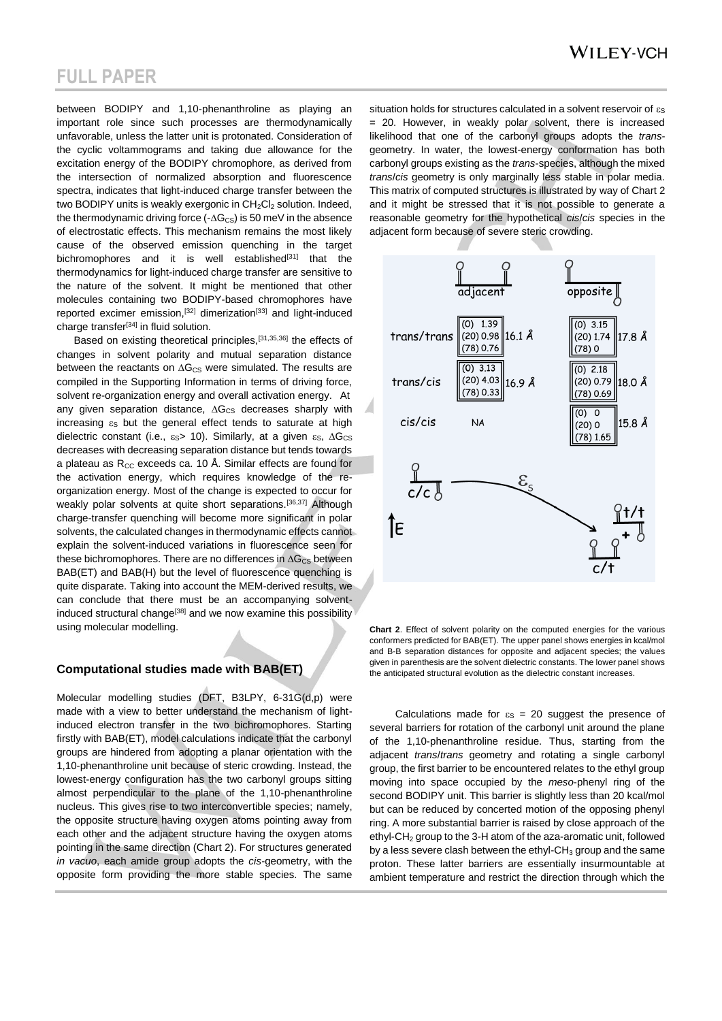between BODIPY and 1,10-phenanthroline as playing an important role since such processes are thermodynamically unfavorable, unless the latter unit is protonated. Consideration of the cyclic voltammograms and taking due allowance for the excitation energy of the BODIPY chromophore, as derived from the intersection of normalized absorption and fluorescence spectra, indicates that light-induced charge transfer between the two BODIPY units is weakly exergonic in  $CH_2Cl_2$  solution. Indeed, the thermodynamic driving force  $(-\Delta G_{\text{CS}})$  is 50 meV in the absence of electrostatic effects. This mechanism remains the most likely cause of the observed emission quenching in the target bichromophores and it is well established<sup>[31]</sup> that the thermodynamics for light-induced charge transfer are sensitive to the nature of the solvent. It might be mentioned that other molecules containing two BODIPY-based chromophores have reported excimer emission,<sup>[32]</sup> dimerization<sup>[33]</sup> and light-induced charge transfer<sup>[34]</sup> in fluid solution.

Based on existing theoretical principles,<sup>[31,35,36]</sup> the effects of changes in solvent polarity and mutual separation distance between the reactants on  $\Delta G_{CS}$  were simulated. The results are compiled in the Supporting Information in terms of driving force, solvent re-organization energy and overall activation energy. At any given separation distance,  $\Delta G_{CS}$  decreases sharply with increasing  $\varepsilon_{\rm S}$  but the general effect tends to saturate at high dielectric constant (i.e.,  $\varepsilon_{\rm S}$  = 10). Similarly, at a given  $\varepsilon_{\rm S}$ ,  $\Delta G_{\rm CS}$ decreases with decreasing separation distance but tends towards a plateau as  $R_{CC}$  exceeds ca. 10 Å. Similar effects are found for the activation energy, which requires knowledge of the reorganization energy. Most of the change is expected to occur for weakly polar solvents at quite short separations.<sup>[36,37]</sup> Although charge-transfer quenching will become more significant in polar solvents, the calculated changes in thermodynamic effects cannot explain the solvent-induced variations in fluorescence seen for these bichromophores. There are no differences in  $\Delta G_{CS}$  between BAB(ET) and BAB(H) but the level of fluorescence quenching is quite disparate. Taking into account the MEM-derived results, we can conclude that there must be an accompanying solventinduced structural change<sup>[38]</sup> and we now examine this possibility using molecular modelling.

#### **Computational studies made with BAB(ET)**

Molecular modelling studies (DFT, B3LPY, 6-31G(d,p) were made with a view to better understand the mechanism of lightinduced electron transfer in the two bichromophores. Starting firstly with BAB(ET), model calculations indicate that the carbonyl groups are hindered from adopting a planar orientation with the 1,10-phenanthroline unit because of steric crowding. Instead, the lowest-energy configuration has the two carbonyl groups sitting almost perpendicular to the plane of the 1,10-phenanthroline nucleus. This gives rise to two interconvertible species; namely, the opposite structure having oxygen atoms pointing away from each other and the adjacent structure having the oxygen atoms pointing in the same direction (Chart 2). For structures generated *in vacuo*, each amide group adopts the *cis*-geometry, with the opposite form providing the more stable species. The same situation holds for structures calculated in a solvent reservoir of  $\varepsilon_{\rm S}$ = 20. However, in weakly polar solvent, there is increased likelihood that one of the carbonyl groups adopts the *trans*geometry. In water, the lowest-energy conformation has both carbonyl groups existing as the *trans*-species, although the mixed *trans*/*cis* geometry is only marginally less stable in polar media. This matrix of computed structures is illustrated by way of Chart 2 and it might be stressed that it is not possible to generate a reasonable geometry for the hypothetical *cis*/*cis* species in the adjacent form because of severe steric crowding.



**Chart 2**. Effect of solvent polarity on the computed energies for the various conformers predicted for BAB(ET). The upper panel shows energies in kcal/mol and B-B separation distances for opposite and adjacent species; the values given in parenthesis are the solvent dielectric constants. The lower panel shows the anticipated structural evolution as the dielectric constant increases.

Calculations made for  $\varepsilon_{\rm S}$  = 20 suggest the presence of several barriers for rotation of the carbonyl unit around the plane of the 1,10-phenanthroline residue. Thus, starting from the adjacent *trans*/*trans* geometry and rotating a single carbonyl group, the first barrier to be encountered relates to the ethyl group moving into space occupied by the *meso*-phenyl ring of the second BODIPY unit. This barrier is slightly less than 20 kcal/mol but can be reduced by concerted motion of the opposing phenyl ring. A more substantial barrier is raised by close approach of the ethyl-CH<sup>2</sup> group to the 3-H atom of the aza-aromatic unit, followed by a less severe clash between the ethyl- $CH<sub>3</sub>$  group and the same proton. These latter barriers are essentially insurmountable at ambient temperature and restrict the direction through which the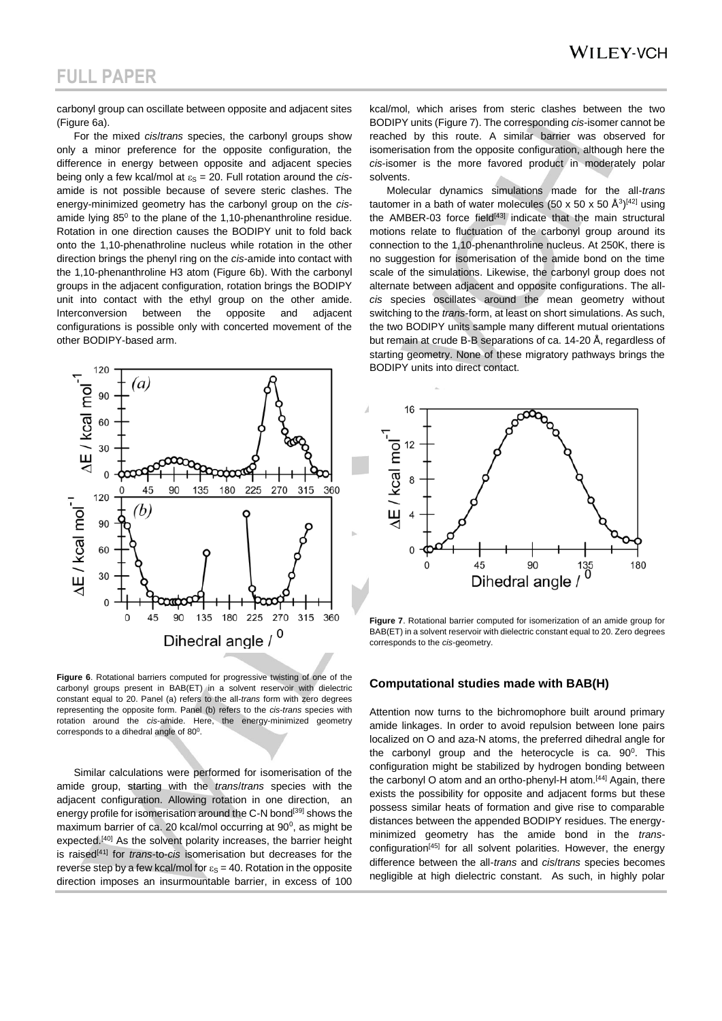carbonyl group can oscillate between opposite and adjacent sites (Figure 6a).

For the mixed *cis*/*trans* species, the carbonyl groups show only a minor preference for the opposite configuration, the difference in energy between opposite and adjacent species being only a few kcal/mol at  $\varepsilon_{\rm S}$  = 20. Full rotation around the *cis*amide is not possible because of severe steric clashes. The energy-minimized geometry has the carbonyl group on the *cis*amide lying  $85^{\circ}$  to the plane of the 1,10-phenanthroline residue. Rotation in one direction causes the BODIPY unit to fold back onto the 1,10-phenathroline nucleus while rotation in the other direction brings the phenyl ring on the *cis*-amide into contact with the 1,10-phenanthroline H3 atom (Figure 6b). With the carbonyl groups in the adjacent configuration, rotation brings the BODIPY unit into contact with the ethyl group on the other amide. Interconversion between the opposite and adjacent configurations is possible only with concerted movement of the other BODIPY-based arm.



**Figure 6**. Rotational barriers computed for progressive twisting of one of the carbonyl groups present in BAB(ET) in a solvent reservoir with dielectric constant equal to 20. Panel (a) refers to the all-*trans* form with zero degrees representing the opposite form. Panel (b) refers to the *cis*-*trans* species with rotation around the *cis*-amide. Here, the energy-minimized geometry corresponds to a dihedral angle of  $80^\circ$ .

Similar calculations were performed for isomerisation of the amide group, starting with the *trans*/*trans* species with the adjacent configuration. Allowing rotation in one direction, an energy profile for isomerisation around the C-N bond<sup>[39]</sup> shows the maximum barrier of ca. 20 kcal/mol occurring at  $90^\circ$ , as might be expected.<sup>[40]</sup> As the solvent polarity increases, the barrier height is raised[41] for *trans*-to-*cis* isomerisation but decreases for the reverse step by a few kcal/mol for  $\varepsilon_{\rm S}$  = 40. Rotation in the opposite direction imposes an insurmountable barrier, in excess of 100

kcal/mol, which arises from steric clashes between the two BODIPY units (Figure 7). The corresponding *cis*-isomer cannot be reached by this route. A similar barrier was observed for isomerisation from the opposite configuration, although here the *cis*-isomer is the more favored product in moderately polar solvents.

Molecular dynamics simulations made for the all-*trans* tautomer in a bath of water molecules (50 x 50 x 50  $\mathrm{\AA}^{3}\mathrm{^{[42]}}$  using the AMBER-03 force field<sup>[43]</sup> indicate that the main structural motions relate to fluctuation of the carbonyl group around its connection to the 1,10-phenanthroline nucleus. At 250K, there is no suggestion for isomerisation of the amide bond on the time scale of the simulations. Likewise, the carbonyl group does not alternate between adjacent and opposite configurations. The all*cis* species oscillates around the mean geometry without switching to the *trans*-form, at least on short simulations. As such, the two BODIPY units sample many different mutual orientations but remain at crude B-B separations of ca. 14-20 Å, regardless of starting geometry. None of these migratory pathways brings the BODIPY units into direct contact.



**Figure 7**. Rotational barrier computed for isomerization of an amide group for BAB(ET) in a solvent reservoir with dielectric constant equal to 20. Zero degrees corresponds to the *cis*-geometry.

#### **Computational studies made with BAB(H)**

Attention now turns to the bichromophore built around primary amide linkages. In order to avoid repulsion between lone pairs localized on O and aza-N atoms, the preferred dihedral angle for the carbonyl group and the heterocycle is ca.  $90^0$ . This configuration might be stabilized by hydrogen bonding between the carbonyl O atom and an ortho-phenyl-H atom.<sup>[44]</sup> Again, there exists the possibility for opposite and adjacent forms but these possess similar heats of formation and give rise to comparable distances between the appended BODIPY residues. The energyminimized geometry has the amide bond in the *trans*configuration<sup>[45]</sup> for all solvent polarities. However, the energy difference between the all-*trans* and *cis*/*trans* species becomes negligible at high dielectric constant. As such, in highly polar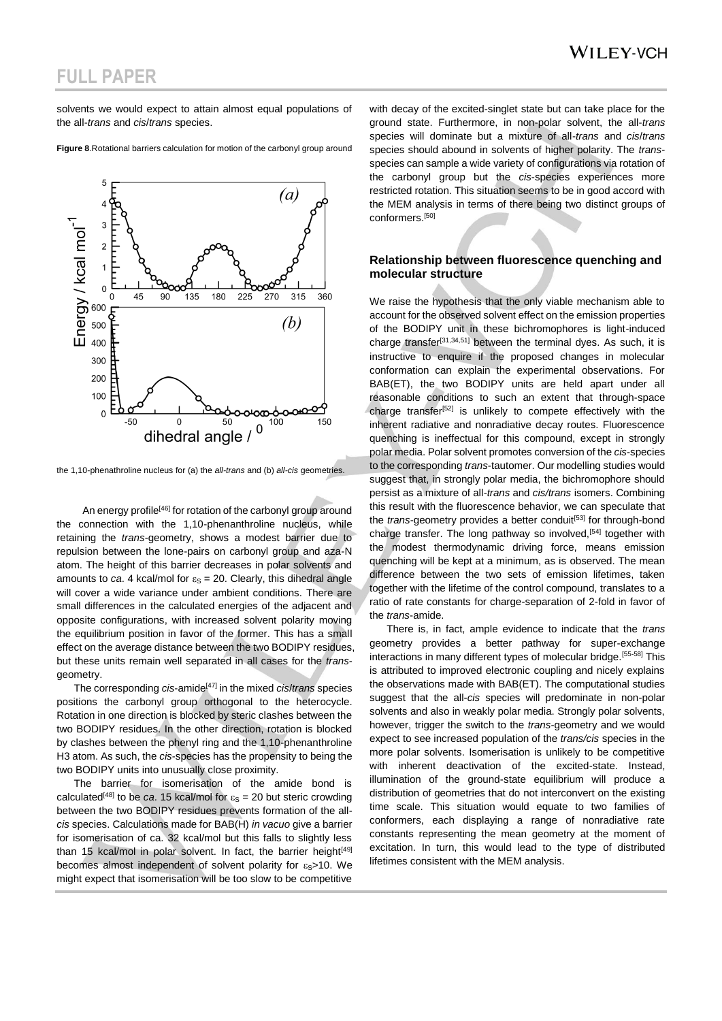solvents we would expect to attain almost equal populations of the all-*trans* and *cis*/*trans* species.

**Figure 8**.Rotational barriers calculation for motion of the carbonyl group around

the 1,10-phenathroline nucleus for (a) the *all-trans* and (b) *all-cis* geometries.

An energy profile<sup>[46]</sup> for rotation of the carbonyl group around the connection with the 1,10-phenanthroline nucleus, while retaining the *trans*-geometry, shows a modest barrier due to repulsion between the lone-pairs on carbonyl group and aza-N atom. The height of this barrier decreases in polar solvents and amounts to *ca*. 4 kcal/mol for  $\varepsilon_s = 20$ . Clearly, this dihedral angle will cover a wide variance under ambient conditions. There are small differences in the calculated energies of the adjacent and opposite configurations, with increased solvent polarity moving the equilibrium position in favor of the former. This has a small effect on the average distance between the two BODIPY residues, but these units remain well separated in all cases for the *trans*geometry.

The corresponding *cis*-amide[47] in the mixed *cis*/*trans* species positions the carbonyl group orthogonal to the heterocycle. Rotation in one direction is blocked by steric clashes between the two BODIPY residues. In the other direction, rotation is blocked by clashes between the phenyl ring and the 1,10-phenanthroline H3 atom. As such, the *cis*-species has the propensity to being the two BODIPY units into unusually close proximity.

The barrier for isomerisation of the amide bond is calculated<sup>[48]</sup> to be *ca*. 15 kcal/mol for  $\varepsilon_{\rm S} = 20$  but steric crowding between the two BODIPY residues prevents formation of the all*cis* species. Calculations made for BAB(H) *in vacuo* give a barrier for isomerisation of ca. 32 kcal/mol but this falls to slightly less than 15 kcal/mol in polar solvent. In fact, the barrier height $[49]$ becomes almost independent of solvent polarity for  $\varepsilon_{S}$ >10. We might expect that isomerisation will be too slow to be competitive

with decay of the excited-singlet state but can take place for the ground state. Furthermore, in non-polar solvent, the all-*trans* species will dominate but a mixture of all-*trans* and *cis*/*trans* species should abound in solvents of higher polarity. The *trans*species can sample a wide variety of configurations via rotation of the carbonyl group but the *cis*-species experiences more restricted rotation. This situation seems to be in good accord with the MEM analysis in terms of there being two distinct groups of conformers.[50]

#### **Relationship between fluorescence quenching and molecular structure**

We raise the hypothesis that the only viable mechanism able to account for the observed solvent effect on the emission properties of the BODIPY unit in these bichromophores is light-induced charge transfer<sup>[31,34,51]</sup> between the terminal dyes. As such, it is instructive to enquire if the proposed changes in molecular conformation can explain the experimental observations. For BAB(ET), the two BODIPY units are held apart under all reasonable conditions to such an extent that through-space charge transfer<sup>[52]</sup> is unlikely to compete effectively with the inherent radiative and nonradiative decay routes. Fluorescence quenching is ineffectual for this compound, except in strongly polar media. Polar solvent promotes conversion of the *cis*-species to the corresponding *trans*-tautomer. Our modelling studies would suggest that, in strongly polar media, the bichromophore should persist as a mixture of all-*trans* and *cis/trans* isomers. Combining this result with the fluorescence behavior, we can speculate that the *trans*-geometry provides a better conduit<sup>[53]</sup> for through-bond charge transfer. The long pathway so involved,<sup>[54]</sup> together with the modest thermodynamic driving force, means emission quenching will be kept at a minimum, as is observed. The mean difference between the two sets of emission lifetimes, taken together with the lifetime of the control compound, translates to a ratio of rate constants for charge-separation of 2-fold in favor of the *trans*-amide.

There is, in fact, ample evidence to indicate that the *trans* geometry provides a better pathway for super-exchange interactions in many different types of molecular bridge.[55-58] This is attributed to improved electronic coupling and nicely explains the observations made with BAB(ET). The computational studies suggest that the all-*cis* species will predominate in non-polar solvents and also in weakly polar media. Strongly polar solvents, however, trigger the switch to the *trans*-geometry and we would expect to see increased population of the *trans/cis* species in the more polar solvents. Isomerisation is unlikely to be competitive with inherent deactivation of the excited-state. Instead, illumination of the ground-state equilibrium will produce a distribution of geometries that do not interconvert on the existing time scale. This situation would equate to two families of conformers, each displaying a range of nonradiative rate constants representing the mean geometry at the moment of excitation. In turn, this would lead to the type of distributed lifetimes consistent with the MEM analysis.

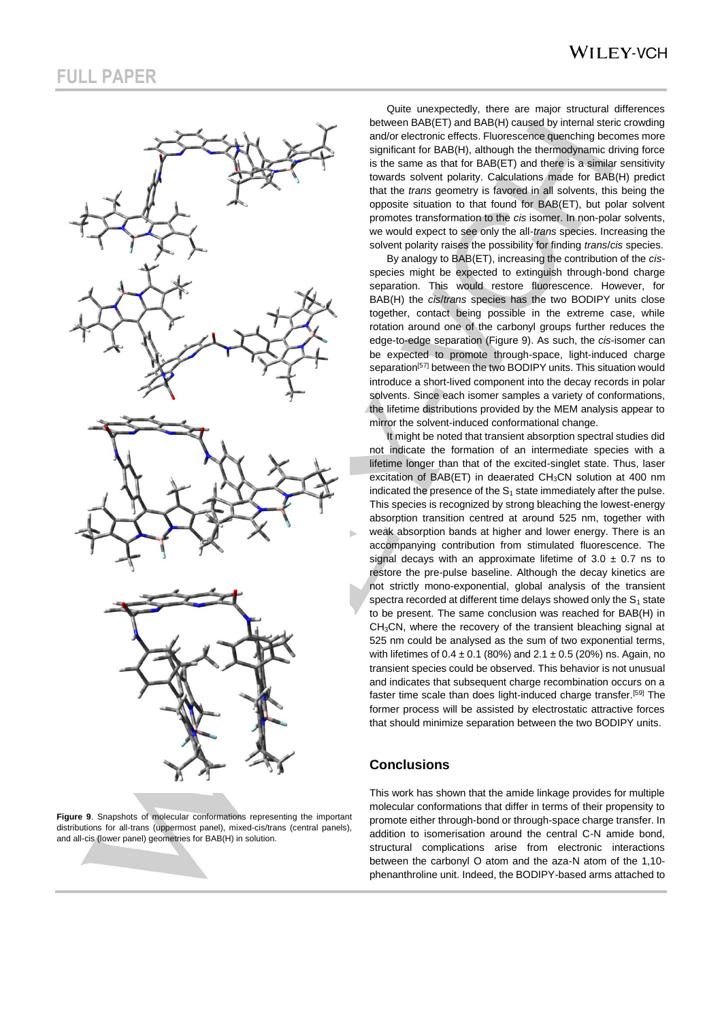

**Figure 9**. Snapshots of molecular conformations representing the important distributions for all-trans (uppermost panel), mixed-cis/trans (central panels), and all-cis (lower panel) geometries for BAB(H) in solution.

### **WILEY-VCH**

Quite unexpectedly, there are major structural differences between BAB(ET) and BAB(H) caused by internal steric crowding and/or electronic effects. Fluorescence quenching becomes more significant for BAB(H), although the thermodynamic driving force is the same as that for BAB(ET) and there is a similar sensitivity towards solvent polarity. Calculations made for BAB(H) predict that the *trans* geometry is favored in all solvents, this being the opposite situation to that found for BAB(ET), but polar solvent promotes transformation to the *cis* isomer. In non-polar solvents, we would expect to see only the all-*trans* species. Increasing the solvent polarity raises the possibility for finding *trans*/*cis* species.

By analogy to BAB(ET), increasing the contribution of the *cis*species might be expected to extinguish through-bond charge separation. This would restore fluorescence. However, for BAB(H) the *cis*/*trans* species has the two BODIPY units close together, contact being possible in the extreme case, while rotation around one of the carbonyl groups further reduces the edge-to-edge separation (Figure 9). As such, the *cis*-isomer can be expected to promote through-space, light-induced charge separation<sup>[57]</sup> between the two BODIPY units. This situation would introduce a short-lived component into the decay records in polar solvents. Since each isomer samples a variety of conformations, the lifetime distributions provided by the MEM analysis appear to mirror the solvent-induced conformational change.

It might be noted that transient absorption spectral studies did not indicate the formation of an intermediate species with a lifetime longer than that of the excited-singlet state. Thus, laser excitation of BAB(ET) in deaerated CH<sub>3</sub>CN solution at 400 nm indicated the presence of the  $S_1$  state immediately after the pulse. This species is recognized by strong bleaching the lowest-energy absorption transition centred at around 525 nm, together with weak absorption bands at higher and lower energy. There is an accompanying contribution from stimulated fluorescence. The signal decays with an approximate lifetime of  $3.0 \pm 0.7$  ns to restore the pre-pulse baseline. Although the decay kinetics are not strictly mono-exponential, global analysis of the transient spectra recorded at different time delays showed only the  $S_1$  state to be present. The same conclusion was reached for BAB(H) in CH3CN, where the recovery of the transient bleaching signal at 525 nm could be analysed as the sum of two exponential terms, with lifetimes of  $0.4 \pm 0.1$  (80%) and  $2.1 \pm 0.5$  (20%) ns. Again, no transient species could be observed. This behavior is not unusual and indicates that subsequent charge recombination occurs on a faster time scale than does light-induced charge transfer.[59] The former process will be assisted by electrostatic attractive forces that should minimize separation between the two BODIPY units.

### **Conclusions**

This work has shown that the amide linkage provides for multiple molecular conformations that differ in terms of their propensity to promote either through-bond or through-space charge transfer. In addition to isomerisation around the central C-N amide bond, structural complications arise from electronic interactions between the carbonyl O atom and the aza-N atom of the 1,10 phenanthroline unit. Indeed, the BODIPY-based arms attached to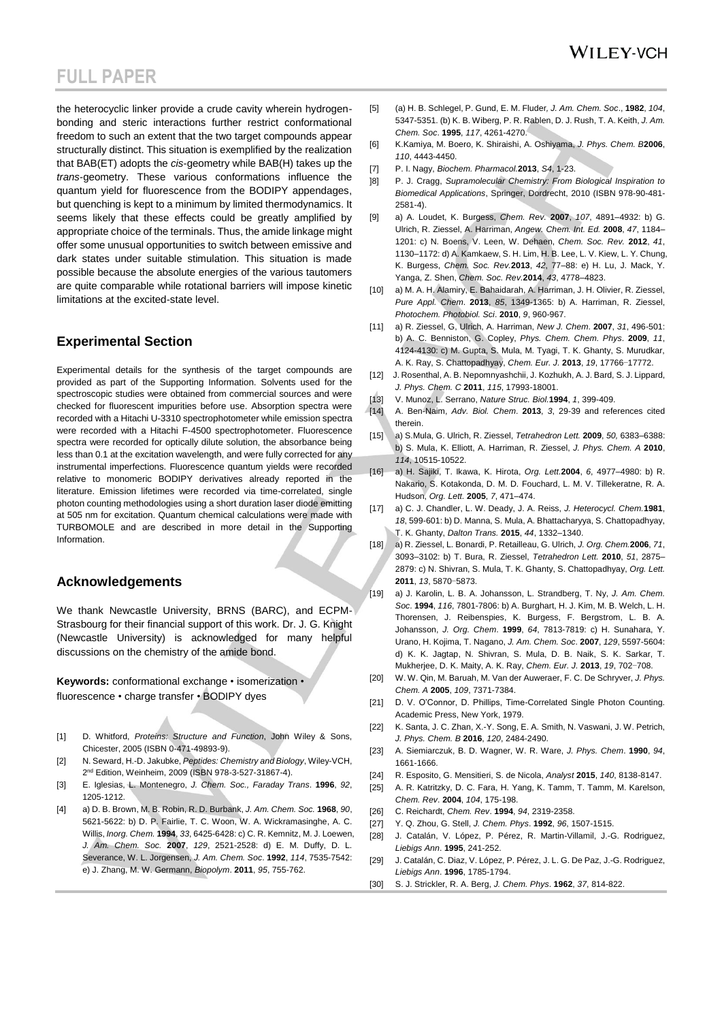the heterocyclic linker provide a crude cavity wherein hydrogenbonding and steric interactions further restrict conformational freedom to such an extent that the two target compounds appear structurally distinct. This situation is exemplified by the realization that BAB(ET) adopts the *cis*-geometry while BAB(H) takes up the *trans*-geometry. These various conformations influence the quantum yield for fluorescence from the BODIPY appendages, but quenching is kept to a minimum by limited thermodynamics. It seems likely that these effects could be greatly amplified by appropriate choice of the terminals. Thus, the amide linkage might offer some unusual opportunities to switch between emissive and dark states under suitable stimulation. This situation is made possible because the absolute energies of the various tautomers are quite comparable while rotational barriers will impose kinetic limitations at the excited-state level.

### **Experimental Section**

Experimental details for the synthesis of the target compounds are provided as part of the Supporting Information. Solvents used for the spectroscopic studies were obtained from commercial sources and were checked for fluorescent impurities before use. Absorption spectra were recorded with a Hitachi U-3310 spectrophotometer while emission spectra were recorded with a Hitachi F-4500 spectrophotometer. Fluorescence spectra were recorded for optically dilute solution, the absorbance being less than 0.1 at the excitation wavelength, and were fully corrected for any instrumental imperfections. Fluorescence quantum yields were recorded relative to monomeric BODIPY derivatives already reported in the literature. Emission lifetimes were recorded via time-correlated, single photon counting methodologies using a short duration laser diode emitting at 505 nm for excitation. Quantum chemical calculations were made with TURBOMOLE and are described in more detail in the Supporting Information.

#### **Acknowledgements**

We thank Newcastle University, BRNS (BARC), and ECPM-Strasbourg for their financial support of this work. Dr. J. G. Knight (Newcastle University) is acknowledged for many helpful discussions on the chemistry of the amide bond.

**Keywords:** conformational exchange • isomerization • fluorescence • charge transfer • BODIPY dyes

- [1] D. Whitford, *Proteins: Structure and Function*, John Wiley & Sons, Chicester, 2005 (ISBN 0-471-49893-9).
- [2] N. Seward, H.-D. Jakubke, *Peptides: Chemistry and Biology*, Wiley-VCH, 2<sup>nd</sup> Edition, Weinheim, 2009 (ISBN 978-3-527-31867-4).
- [3] E. Iglesias, L. Montenegro, *J. Chem. Soc., Faraday Trans*. **1996**, *92*, 1205-1212.
- [4] a) D. B. Brown, M. B. Robin, R. D. Burbank, *J. Am. Chem. Soc.* **1968**, *90*, 5621-5622: b) D. P. Fairlie, T. C. Woon, W. A. Wickramasinghe, A. C. Willis, *Inorg. Chem.* **1994**, *33*, 6425-6428: c) C. R. Kemnitz, M. J. Loewen, *J. Am. Chem. Soc.* **2007**, *129*, 2521-2528: d) E. M. Duffy, D. L. Severance, W. L. Jorgensen, *J. Am. Chem. Soc*. **1992**, *114*, 7535-7542: e) J. Zhang, M. W. Germann, *Biopolym*. **2011**, *95*, 755-762.
- [5] (a) H. B. Schlegel, P. Gund, E. M. Fluder*, J. Am. Chem. Soc*., **1982**, *104*, 5347-5351. (b) K. B. Wiberg, P. R. Rablen, D. J. Rush, T. A. Keith, *J. Am. Chem. Soc*. **1995**, *117*, 4261-4270.
- [6] K.Kamiya, M. Boero, K. Shiraishi, A. Oshiyama, *J. Phys. Chem. B***2006**, *110*, 4443-4450.
- [7] P. I. Nagy, *Biochem. Pharmacol.***2013**, *S4*, 1-23.
- ]8] P. J. Cragg, *Supramolecular Chemistry: From Biological Inspiration to Biomedical Applications*, Springer, Dordrecht, 2010 (ISBN 978-90-481- 2581-4).
- [9] a) A. Loudet, K. Burgess, *Chem. Rev.* **2007**, *107*, 4891–4932: b) G. Ulrich, R. Ziessel, A. Harriman, *Angew. Chem. Int. Ed.* **2008**, *47*, 1184– 1201: c) N. Boens, V. Leen, W. Dehaen, *Chem. Soc. Rev.* **2012**, *41*, 1130–1172: d) A. Kamkaew, S. H. Lim, H. B. Lee, L. V. Kiew, L. Y. Chung, K. Burgess, *Chem. Soc. Rev.***2013**, *42*, 77–88: e) H. Lu, J. Mack, Y. Yanga, Z. Shen, *Chem. Soc. Rev.***2014**, *43*, 4778–4823.
- [10] a) M. A. H. Alamiry, E. Bahaidarah, A. Harriman, J. H. Olivier, R. Ziessel, *Pure Appl. Chem*. **2013**, *85*, 1349-1365: b) A. Harriman, R. Ziessel, *Photochem. Photobiol. Sci*. **2010**, *9*, 960-967.
- [11] a) R. Ziessel, G, Ulrich, A. Harriman, *New J. Chem*. **2007**, *31*, 496-501: b) A. C. Benniston, G. Copley, *Phys. Chem. Chem. Phys*. **2009**, *11*, 4124-4130: c) M. Gupta, S. Mula, M. Tyagi, T. K. Ghanty, S. Murudkar, A. K. Ray, S. Chattopadhyay, *Chem. Eur. J.* **2013**, *19*, 17766−17772.
- [12] J. Rosenthal, A. B. Nepomnyashchii, J. Kozhukh, A. J. Bard, S. J. Lippard, *J. Phys. Chem. C* **2011**, *115*, 17993-18001.
- [13] V. Munoz, L. Serrano, *Nature Struc. Biol.***1994**, *1*, 399-409.
- [14] A. Ben-Naim, *Adv. Biol. Chem*. **2013**, *3*, 29-39 and references cited therein.
- [15] a) S.Mula, G. Ulrich, R. Ziessel, *Tetrahedron Lett.* **2009**, *50,* 6383–6388: b) S. Mula, K. Elliott, A. Harriman, R. Ziessel, *J. Phys. Chem. A* **2010**, *114*, 10515-10522.
- [16] a) H. Sajiki, T. Ikawa, K. Hirota, *Org. Lett.***2004**, *6*, 4977–4980: b) R. Nakario, S. Kotakonda, D. M. D. Fouchard, L. M. V. Tillekeratne, R. A. Hudson, *Org. Lett.* **2005**, *7*, 471–474.
- [17] a) C. J. Chandler, L. W. Deady, J. A. Reiss, *J. Heterocycl. Chem.***1981**, *18*, 599-601: b) D. Manna, S. Mula, A. Bhattacharyya, S. Chattopadhyay, T. K. Ghanty, *Dalton Trans.* **2015**, *44*, 1332–1340.
- [18] a) R. Ziessel, L. Bonardi, P. Retailleau, G. Ulrich, *J. Org. Chem.***2006**, *71*, 3093–3102: b) T. Bura, R. Ziessel, *Tetrahedron Lett.* **2010**, *51*, 2875– 2879: c) N. Shivran, S. Mula, T. K. Ghanty, S. Chattopadhyay, *Org. Lett.* **2011**, *13*, 5870−5873.
- [19] a) J. Karolin, L. B. A. Johansson, L. Strandberg, T. Ny, *J. Am. Chem. Soc*. **1994**, *116*, 7801-7806: b) A. Burghart, H. J. Kim, M. B. Welch, L. H. Thorensen, J. Reibenspies, K. Burgess, F. Bergstrom, L. B. A. Johansson, *J. Org. Chem*. **1999**, *64*, 7813-7819: c) H. Sunahara, Y. Urano, H. Kojima, T. Nagano, *J. Am. Chem. Soc*. **2007**, *129*, 5597-5604: d) K. K. Jagtap, N. Shivran, S. Mula, D. B. Naik, S. K. Sarkar, T. Mukherjee, D. K. Maity, A. K. Ray, *Chem. Eur. J.* **2013**, *19*, 702−708.
- [20] W. W. Qin, M. Baruah, M. Van der Auweraer, F. C. De Schryver, *J. Phys. Chem. A* **2005**, *109*, 7371-7384.
- [21] D. V. O'Connor, D. Phillips, Time-Correlated Single Photon Counting. Academic Press, New York, 1979.
- [22] K. Santa, J. C. Zhan, X.-Y. Song, E. A. Smith, N. Vaswani, J. W. Petrich, *J. Phys. Chem. B* **2016**, *120*, 2484-2490.
- [23] A. Siemiarczuk, B. D. Wagner, W. R. Ware, *J. Phys. Chem*. **1990**, *94*, 1661-1666.
- [24] R. Esposito, G. Mensitieri, S. de Nicola, *Analyst* **2015**, *140*, 8138-8147.
- [25] A. R. Katritzky, D. C. Fara, H. Yang, K. Tamm, T. Tamm, M. Karelson, *Chem. Rev*. **2004**, *104*, 175-198.
- [26] C. Reichardt, *Chem. Rev*. **1994**, *94*, 2319-2358.
- [27] Y. Q. Zhou, G. Stell, *J. Chem. Phys*. **1992**, *96*, 1507-1515.
- [28] J. Catalán, V. López, P. Pérez, R. Martin-Villamil, J.-G. Rodriguez, *Liebigs Ann*. **1995**, 241-252.
- [29] J. Catalán, C. Diaz, V. López, P. Pérez, J. L. G. De Paz, J.-G. Rodriguez, *Liebigs Ann*. **1996**, 1785-1794.
- [30] S. J. Strickler, R. A. Berg, *J. Chem. Phys*. **1962**, *37*, 814-822.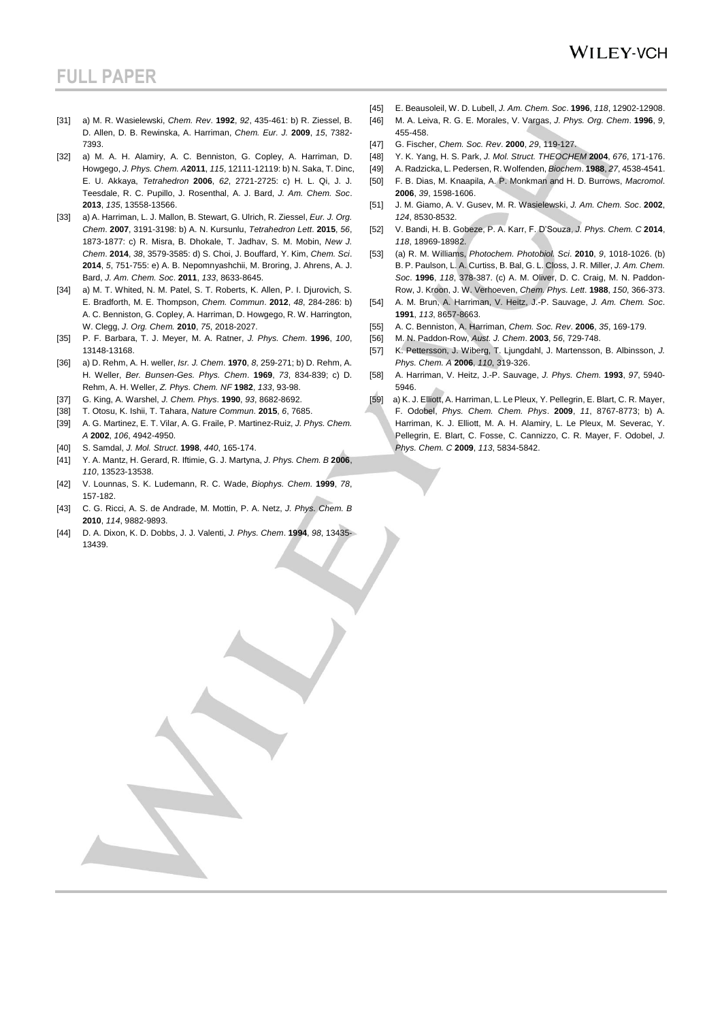- [31] a) M. R. Wasielewski, *Chem. Rev*. **1992**, *92*, 435-461: b) R. Ziessel, B. D. Allen, D. B. Rewinska, A. Harriman, *Chem. Eur. J.* **2009**, *15*, 7382- 7393.
- [32] a) M. A. H. Alamiry, A. C. Benniston, G. Copley, A. Harriman, D. Howgego, *J. Phys. Chem. A***2011**, *115*, 12111-12119: b) N. Saka, T. Dinc, E. U. Akkaya, *Tetrahedron* **2006**, *62*, 2721-2725: c) H. L. Qi, J. J. Teesdale, R. C. Pupillo, J. Rosenthal, A. J. Bard, *J. Am. Chem. Soc*. **2013**, *135*, 13558-13566.
- [33] a) A. Harriman, L. J. Mallon, B. Stewart, G. Ulrich, R. Ziessel, *Eur. J. Org. Chem*. **2007**, 3191-3198: b) A. N. Kursunlu, *Tetrahedron Lett*. **2015**, *56*, 1873-1877: c) R. Misra, B. Dhokale, T. Jadhav, S. M. Mobin, *New J. Chem*. **2014**, *38*, 3579-3585: d) S. Choi, J. Bouffard, Y. Kim, *Chem. Sci*. **2014**, *5*, 751-755: e) A. B. Nepomnyashchii, M. Broring, J. Ahrens, A. J. Bard, *J. Am. Chem. Soc*. **2011**, *133*, 8633-8645.
- [34] a) M. T. Whited, N. M. Patel, S. T. Roberts, K. Allen, P. I. Diurovich, S. E. Bradforth, M. E. Thompson, *Chem. Commun*. **2012**, *48*, 284-286: b) A. C. Benniston, G. Copley, A. Harriman, D. Howgego, R. W. Harrington, W. Clegg, *J. Org. Chem.* **2010**, *75*, 2018-2027.
- [35] P. F. Barbara, T. J. Meyer, M. A. Ratner, *J. Phys. Chem*. **1996**, *100*, 13148-13168.
- [36] a) D. Rehm, A. H. weller, *Isr. J. Chem*. **1970**, *8*, 259-271; b) D. Rehm, A. H. Weller, *Ber. Bunsen-Ges. Phys. Chem*. **1969**, *73*, 834-839; c) D. Rehm, A. H. Weller, *Z. Phys. Chem. NF* **1982**, *133*, 93-98.
- [37] G. King, A. Warshel, *J. Chem. Phys*. **1990**, *93*, 8682-8692.
- [38] T. Otosu, K. Ishii, T. Tahara, *Nature Commun*. **2015**, *6*, 7685.
- [39] A. G. Martinez, E. T. Vilar, A. G. Fraile, P. Martinez-Ruiz, *J. Phys. Chem. A* **2002**, *106*, 4942-4950.
- [40] S. Samdal, *J. Mol. Struct*. **1998**, *440*, 165-174.
- [41] Y. A. Mantz, H. Gerard, R. Iftimie, G. J. Martyna, *J. Phys. Chem. B* **2006**, *110*, 13523-13538.
- [42] V. Lounnas, S. K. Ludemann, R. C. Wade, *Biophys. Chem*. **1999**, *78*, 157-182.
- [43] C. G. Ricci, A. S. de Andrade, M. Mottin, P. A. Netz, *J. Phys. Chem. B* **2010**, *114*, 9882-9893.
- [44] D. A. Dixon, K. D. Dobbs, J. J. Valenti, *J. Phys. Chem*. **1994**, *98*, 13435- 13439.
- [45] E. Beausoleil, W. D. Lubell, *J. Am. Chem. Soc*. **1996**, *118*, 12902-12908.
- [46] M. A. Leiva, R. G. E. Morales, V. Vargas, *J. Phys. Org. Chem*. **1996**, *9*, 455-458.
- [47] G. Fischer, *Chem. Soc. Rev*. **2000**, *29*, 119-127.
- [48] Y. K. Yang, H. S. Park, *J. Mol. Struct. THEOCHEM* **2004**, *676*, 171-176.
- [49] A. Radzicka, L. Pedersen, R. Wolfenden, *Biochem*. **1988**, *27*, 4538-4541.
- [50] F. B. Dias, M. Knaapila, A. P. Monkman and H. D. Burrows, *Macromol*. **2006**, *39*, 1598-1606.
- [51] J. M. Giamo, A. V. Gusev, M. R. Wasielewski, *J. Am. Chem. Soc*. **2002**, *124*, 8530-8532.
- [52] V. Bandi, H. B. Gobeze, P. A. Karr, F. D'Souza, *J. Phys. Chem. C* **2014**, *118*, 18969-18982.
- [53] (a) R. M. Williams, *Photochem. Photobiol. Sci*. **2010**, *9*, 1018-1026. (b) B. P. Paulson, L. A. Curtiss, B. Bal, G. L. Closs, J. R. Miller, *J. Am. Chem. Soc*. **1996**, *118*, 378-387. (c) A. M. Oliver, D. C. Craig, M. N. Paddon-Row, J. Kroon, J. W. Verhoeven, *Chem. Phys. Lett*. **1988**, *150*, 366-373.
- [54] A. M. Brun, A. Harriman, V. Heitz, J.-P. Sauvage, *J. Am. Chem. Soc*. **1991**, *113*, 8657-8663.
- [55] A. C. Benniston, A. Harriman, *Chem. Soc. Rev*. **2006**, *35*, 169-179.
- [56] M. N. Paddon-Row, *Aust. J. Chem*. **2003**, *56*, 729-748.
- [57] K. Pettersson, J. Wiberg, T. Ljungdahl, J. Martensson, B. Albinsson, *J. Phys. Chem. A* **2006**, *110*, 319-326.
- [58] A. Harriman, V. Heitz, J.-P. Sauvage, *J. Phys. Chem*. **1993**, *97*, 5940- 5946.
- [59] a) K. J. Elliott, A. Harriman, L. Le Pleux, Y. Pellegrin, E. Blart, C. R. Mayer, F. Odobel, *Phys. Chem. Chem. Phys*. **2009**, *11*, 8767-8773; b) A. Harriman, K. J. Elliott, M. A. H. Alamiry, L. Le Pleux, M. Severac, Y. Pellegrin, E. Blart, C. Fosse, C. Cannizzo, C. R. Mayer, F. Odobel, *J. Phys. Chem. C* **2009**, *113*, 5834-5842.